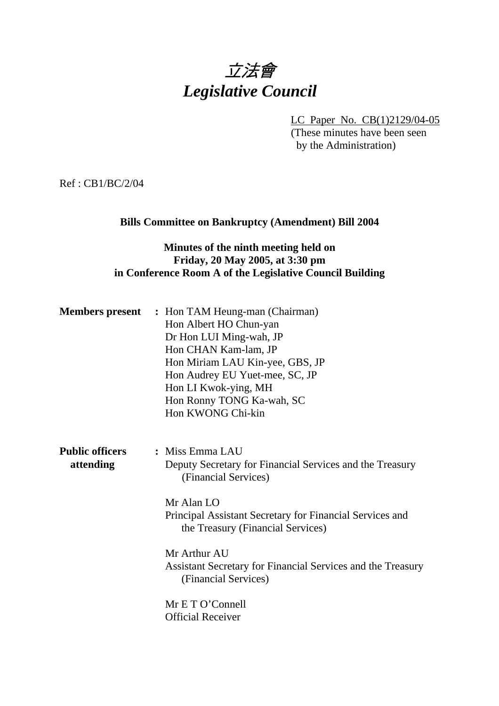# 立法會 *Legislative Council*

LC Paper No. CB(1)2129/04-05

(These minutes have been seen by the Administration)

Ref : CB1/BC/2/04

## **Bills Committee on Bankruptcy (Amendment) Bill 2004**

## **Minutes of the ninth meeting held on Friday, 20 May 2005, at 3:30 pm in Conference Room A of the Legislative Council Building**

| <b>Members present</b>              | : Hon TAM Heung-man (Chairman)<br>Hon Albert HO Chun-yan<br>Dr Hon LUI Ming-wah, JP<br>Hon CHAN Kam-lam, JP<br>Hon Miriam LAU Kin-yee, GBS, JP<br>Hon Audrey EU Yuet-mee, SC, JP<br>Hon LI Kwok-ying, MH<br>Hon Ronny TONG Ka-wah, SC<br>Hon KWONG Chi-kin |
|-------------------------------------|------------------------------------------------------------------------------------------------------------------------------------------------------------------------------------------------------------------------------------------------------------|
| <b>Public officers</b><br>attending | : Miss Emma LAU<br>Deputy Secretary for Financial Services and the Treasury<br>(Financial Services)                                                                                                                                                        |
|                                     | $Mr$ Alan $LO$<br>Principal Assistant Secretary for Financial Services and<br>the Treasury (Financial Services)                                                                                                                                            |
|                                     | Mr Arthur AU<br>Assistant Secretary for Financial Services and the Treasury<br>(Financial Services)                                                                                                                                                        |
|                                     | Mr E T O'Connell<br><b>Official Receiver</b>                                                                                                                                                                                                               |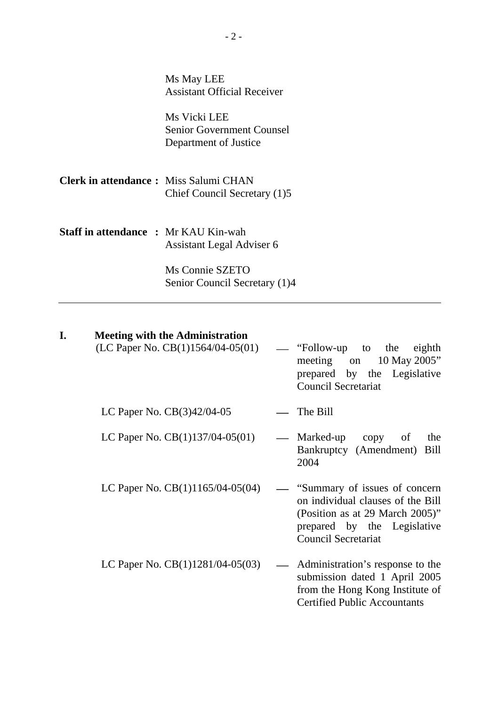| Ms May LEE                         |
|------------------------------------|
| <b>Assistant Official Receiver</b> |

Ms Vicki LEE Senior Government Counsel Department of Justice

**Clerk in attendance :** Miss Salumi CHAN Chief Council Secretary (1)5

**Staff in attendance :** Mr KAU Kin-wah Assistant Legal Adviser 6

> Ms Connie SZETO Senior Council Secretary (1)4

#### **I. Meeting with the Administration**

|                                    | $(LC$ Paper No. $CB(1)1564/04-05(01)$ — "Follow-up to the eighth<br>meeting on 10 May 2005"<br>prepared by the Legislative<br><b>Council Secretariat</b> |
|------------------------------------|----------------------------------------------------------------------------------------------------------------------------------------------------------|
| LC Paper No. $CB(3)42/04-05$       | $\equiv$ The Bill                                                                                                                                        |
| $IC$ Depar No. $CD(1)127/04.05/01$ | $M$ orkod un oonv<br>$\alpha$ f<br>$+{\bf h}$                                                                                                            |

- LC Paper No.  $CB(1)137/04-05(01)$  Marked-up copy of the Bankruptcy (Amendment) Bill 2004
- LC Paper No.  $CB(1)1165/04-05(04)$  "Summary of issues of concern on individual clauses of the Bill (Position as at 29 March 2005)" prepared by the Legislative Council Secretariat
- LC Paper No.  $CB(1)1281/04-05(03)$  Administration's response to the submission dated 1 April 2005 from the Hong Kong Institute of Certified Public Accountants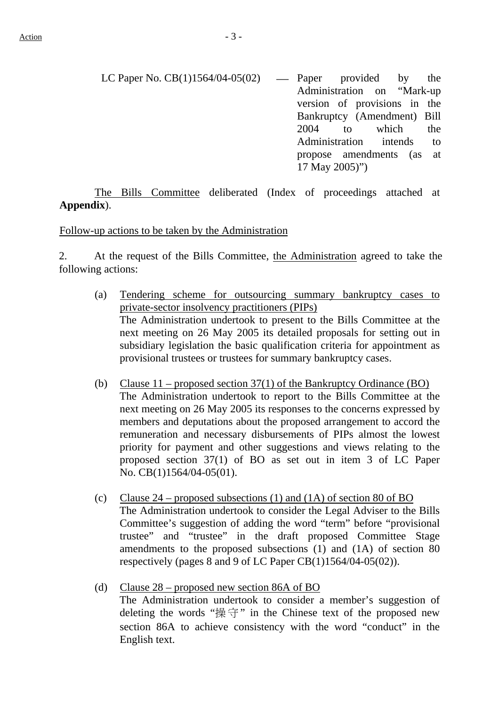LC Paper No.  $CB(1)1564/04-05(02)$  — Paper provided by the Administration on "Mark-up version of provisions in the Bankruptcy (Amendment) Bill 2004 to which the Administration intends to propose amendments (as at 17 May 2005)")

 The Bills Committee deliberated (Index of proceedings attached at **Appendix**).

Follow-up actions to be taken by the Administration

2. At the request of the Bills Committee, the Administration agreed to take the following actions:

- (a) Tendering scheme for outsourcing summary bankruptcy cases to private-sector insolvency practitioners (PIPs) The Administration undertook to present to the Bills Committee at the next meeting on 26 May 2005 its detailed proposals for setting out in subsidiary legislation the basic qualification criteria for appointment as provisional trustees or trustees for summary bankruptcy cases.
- (b) Clause  $11$  proposed section 37(1) of the Bankruptcy Ordinance (BO) The Administration undertook to report to the Bills Committee at the next meeting on 26 May 2005 its responses to the concerns expressed by members and deputations about the proposed arrangement to accord the remuneration and necessary disbursements of PIPs almost the lowest priority for payment and other suggestions and views relating to the proposed section 37(1) of BO as set out in item 3 of LC Paper No. CB(1)1564/04-05(01).
- (c) Clause  $24$  proposed subsections (1) and (1A) of section 80 of BO The Administration undertook to consider the Legal Adviser to the Bills Committee's suggestion of adding the word "term" before "provisional trustee" and "trustee" in the draft proposed Committee Stage amendments to the proposed subsections (1) and (1A) of section 80 respectively (pages 8 and 9 of LC Paper CB(1)1564/04-05(02)).
- (d) Clause 28 proposed new section 86A of BO The Administration undertook to consider a member's suggestion of deleting the words " $\frac{1}{2}$ " in the Chinese text of the proposed new section 86A to achieve consistency with the word "conduct" in the English text.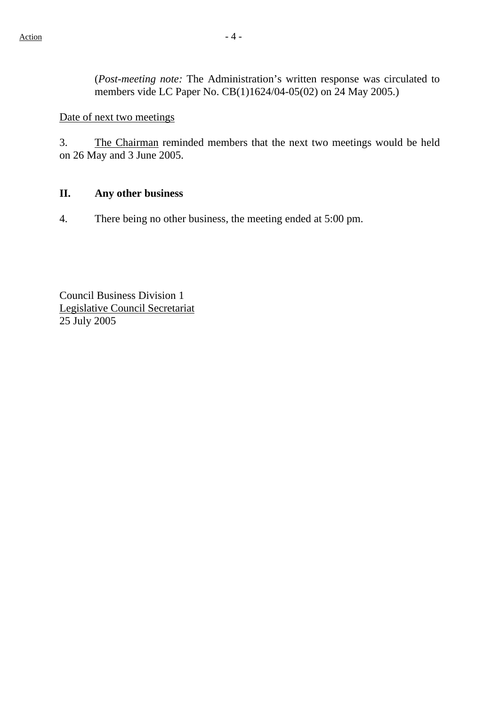(*Post-meeting note:* The Administration's written response was circulated to members vide LC Paper No. CB(1)1624/04-05(02) on 24 May 2005.)

Date of next two meetings

3. The Chairman reminded members that the next two meetings would be held on 26 May and 3 June 2005.

### **II. Any other business**

4. There being no other business, the meeting ended at 5:00 pm.

Council Business Division 1 Legislative Council Secretariat 25 July 2005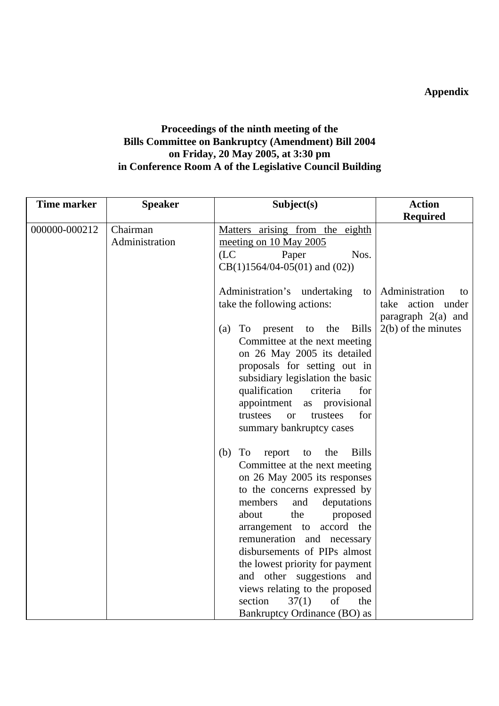**Appendix** 

## **Proceedings of the ninth meeting of the Bills Committee on Bankruptcy (Amendment) Bill 2004 on Friday, 20 May 2005, at 3:30 pm in Conference Room A of the Legislative Council Building**

| <b>Time marker</b> | <b>Speaker</b>             | Subject(s)                                                                                                                                                                                                                                                                                                                                                                                                                                                                         | <b>Action</b>                                                                              |
|--------------------|----------------------------|------------------------------------------------------------------------------------------------------------------------------------------------------------------------------------------------------------------------------------------------------------------------------------------------------------------------------------------------------------------------------------------------------------------------------------------------------------------------------------|--------------------------------------------------------------------------------------------|
|                    |                            |                                                                                                                                                                                                                                                                                                                                                                                                                                                                                    | <b>Required</b>                                                                            |
| 000000-000212      | Chairman<br>Administration | Matters arising from the eighth<br>meeting on 10 May 2005<br>(LC)<br>Nos.<br>Paper<br>$CB(1)1564/04-05(01)$ and $(02)$ )                                                                                                                                                                                                                                                                                                                                                           |                                                                                            |
|                    |                            | Administration's undertaking<br>to<br>take the following actions:<br><b>Bills</b><br>To<br>the<br>(a)<br>present<br>to<br>Committee at the next meeting<br>on 26 May 2005 its detailed<br>proposals for setting out in<br>subsidiary legislation the basic<br>qualification<br>criteria<br>for<br>appointment<br>provisional<br>as<br>for<br>trustees<br>trustees<br><b>or</b><br>summary bankruptcy cases                                                                         | Administration<br>to<br>take action under<br>paragraph $2(a)$ and<br>$2(b)$ of the minutes |
|                    |                            | <b>Bills</b><br>To<br>the<br>(b)<br>report<br>to<br>Committee at the next meeting<br>on 26 May 2005 its responses<br>to the concerns expressed by<br>members<br>and<br>deputations<br>the<br>about<br>proposed<br>accord the<br>arrangement to<br>remuneration and necessary<br>disbursements of PIPs almost<br>the lowest priority for payment<br>and other suggestions<br>and<br>views relating to the proposed<br>37(1)<br>of<br>section<br>the<br>Bankruptcy Ordinance (BO) as |                                                                                            |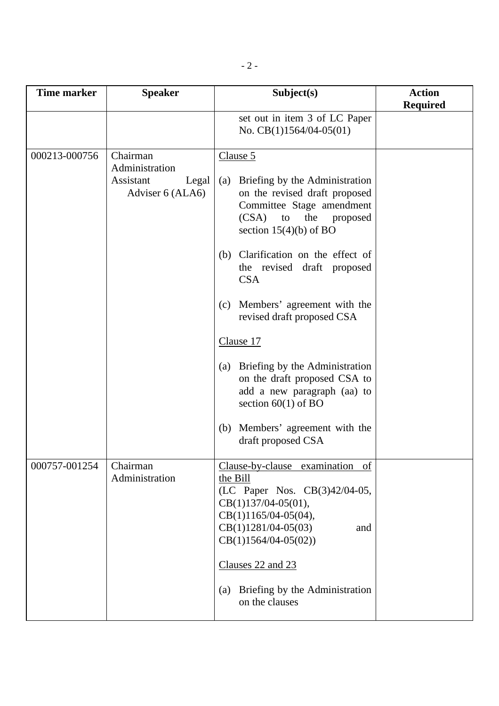| <b>Time marker</b> | <b>Speaker</b>                                                       | Subject(s)                                                                                                                                                                                                                                                                                                                                                                                                                                                                                                              | <b>Action</b><br><b>Required</b> |
|--------------------|----------------------------------------------------------------------|-------------------------------------------------------------------------------------------------------------------------------------------------------------------------------------------------------------------------------------------------------------------------------------------------------------------------------------------------------------------------------------------------------------------------------------------------------------------------------------------------------------------------|----------------------------------|
|                    |                                                                      | set out in item 3 of LC Paper<br>No. $CB(1)1564/04-05(01)$                                                                                                                                                                                                                                                                                                                                                                                                                                                              |                                  |
| 000213-000756      | Chairman<br>Administration<br>Assistant<br>Legal<br>Adviser 6 (ALA6) | Clause 5<br>Briefing by the Administration<br>(a)<br>on the revised draft proposed<br>Committee Stage amendment<br>(CSA)<br>the<br>to<br>proposed<br>section $15(4)(b)$ of BO<br>Clarification on the effect of<br>(b)<br>the revised draft proposed<br><b>CSA</b><br>Members' agreement with the<br>(c)<br>revised draft proposed CSA<br>Clause 17<br>(a) Briefing by the Administration<br>on the draft proposed CSA to<br>add a new paragraph (aa) to<br>section $60(1)$ of BO<br>Members' agreement with the<br>(b) |                                  |
| 000757-001254      | Chairman<br>Administration                                           | draft proposed CSA<br>Clause-by-clause examination of<br>the Bill<br>(LC Paper Nos. CB(3)42/04-05,<br>$CB(1)137/04-05(01),$<br>$CB(1)1165/04-05(04),$<br>$CB(1)1281/04-05(03)$<br>and<br>$CB(1)1564/04-05(02))$<br>Clauses 22 and 23<br>Briefing by the Administration<br>(a)<br>on the clauses                                                                                                                                                                                                                         |                                  |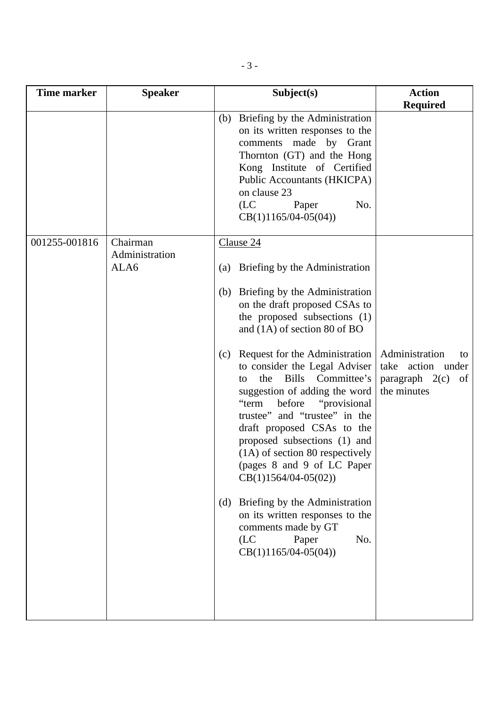| <b>Time marker</b> | <b>Speaker</b>                     | Subject(s)                                                                                                                                                                                                                                                                                                                                                                                                                                                                                                                     | <b>Action</b><br><b>Required</b>                                                |
|--------------------|------------------------------------|--------------------------------------------------------------------------------------------------------------------------------------------------------------------------------------------------------------------------------------------------------------------------------------------------------------------------------------------------------------------------------------------------------------------------------------------------------------------------------------------------------------------------------|---------------------------------------------------------------------------------|
|                    |                                    | (b) Briefing by the Administration<br>on its written responses to the<br>comments made by Grant<br>Thornton (GT) and the Hong<br>Kong Institute of Certified<br>Public Accountants (HKICPA)<br>on clause 23<br>(LC)<br>No.<br>Paper<br>$CB(1)1165/04-05(04))$                                                                                                                                                                                                                                                                  |                                                                                 |
| 001255-001816      | Chairman<br>Administration<br>ALA6 | Clause 24<br>Briefing by the Administration<br>(a)<br>Briefing by the Administration<br>(b)<br>on the draft proposed CSAs to<br>the proposed subsections (1)<br>and $(1A)$ of section 80 of BO                                                                                                                                                                                                                                                                                                                                 |                                                                                 |
|                    |                                    | Request for the Administration<br>(c)<br>to consider the Legal Adviser<br>Bills Committee's<br>the<br>to<br>suggestion of adding the word<br>"term<br>before<br>"provisional"<br>trustee" and "trustee" in the<br>draft proposed CSAs to the<br>proposed subsections (1) and<br>$(1A)$ of section 80 respectively<br>(pages 8 and 9 of LC Paper<br>$CB(1)1564/04-05(02))$<br>Briefing by the Administration<br>(d)<br>on its written responses to the<br>comments made by GT<br>(LC)<br>Paper<br>No.<br>$CB(1)1165/04-05(04))$ | Administration<br>to<br>take action under<br>paragraph $2(c)$ of<br>the minutes |
|                    |                                    |                                                                                                                                                                                                                                                                                                                                                                                                                                                                                                                                |                                                                                 |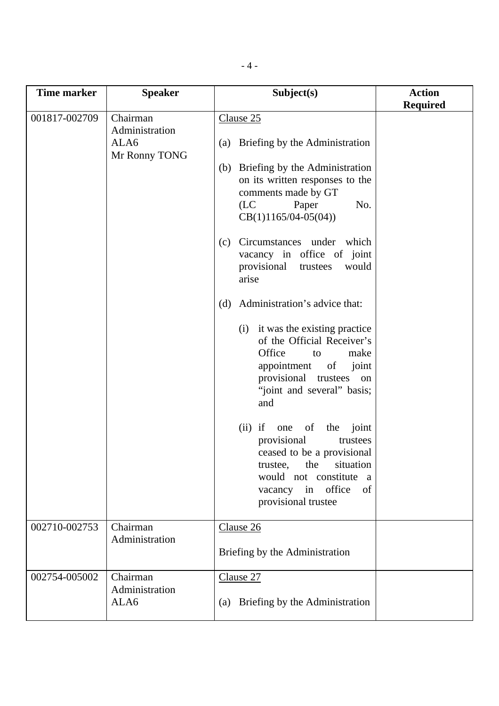| <b>Time marker</b> | <b>Speaker</b>                                      | Subject(s)                                                                                                                                                                                                                                                                                                                                                                                                                                                                                                                                                                                                                                                                                                                                                                  | <b>Action</b><br><b>Required</b> |
|--------------------|-----------------------------------------------------|-----------------------------------------------------------------------------------------------------------------------------------------------------------------------------------------------------------------------------------------------------------------------------------------------------------------------------------------------------------------------------------------------------------------------------------------------------------------------------------------------------------------------------------------------------------------------------------------------------------------------------------------------------------------------------------------------------------------------------------------------------------------------------|----------------------------------|
| 001817-002709      | Chairman<br>Administration<br>ALA6<br>Mr Ronny TONG | Clause 25<br>Briefing by the Administration<br>(a)<br>(b) Briefing by the Administration<br>on its written responses to the<br>comments made by GT<br>(LC)<br>Paper<br>No.<br>$CB(1)1165/04-05(04))$<br>Circumstances under which<br>(c)<br>vacancy in office of joint<br>provisional<br>would<br>trustees<br>arise<br>Administration's advice that:<br>(d)<br>it was the existing practice<br>(i)<br>of the Official Receiver's<br>Office<br>make<br>to<br>appointment<br>of<br>joint<br>provisional<br>trustees on<br>"joint and several" basis;<br>and<br>$(ii)$ if<br>of<br>one<br>the<br>joint<br>provisional<br>trustees<br>ceased to be a provisional<br>the<br>situation<br>trustee,<br>would not constitute<br>a<br>vacancy in office<br>of<br>provisional trustee |                                  |
| 002710-002753      | Chairman<br>Administration                          | Clause 26<br>Briefing by the Administration                                                                                                                                                                                                                                                                                                                                                                                                                                                                                                                                                                                                                                                                                                                                 |                                  |
| 002754-005002      | Chairman<br>Administration<br>ALA6                  | Clause 27<br>Briefing by the Administration<br>(a)                                                                                                                                                                                                                                                                                                                                                                                                                                                                                                                                                                                                                                                                                                                          |                                  |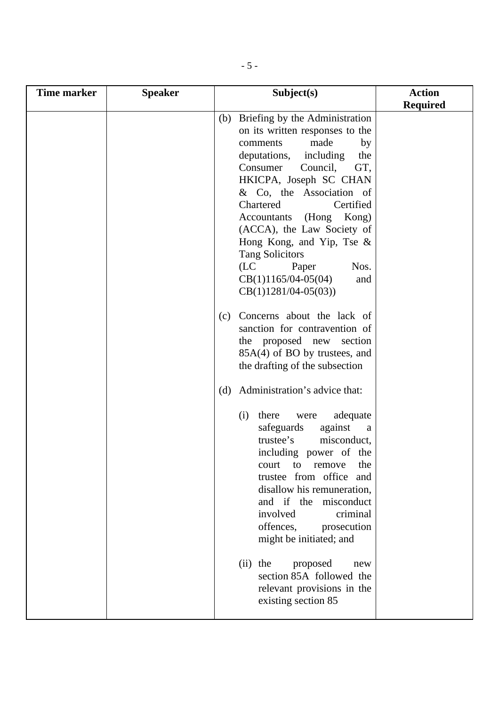| <b>Time marker</b> | <b>Speaker</b> | Subject(s)                                                                                                                                                                                                                                                                                                                                                                                                                                                                                                                                                                                                                       | <b>Action</b>   |
|--------------------|----------------|----------------------------------------------------------------------------------------------------------------------------------------------------------------------------------------------------------------------------------------------------------------------------------------------------------------------------------------------------------------------------------------------------------------------------------------------------------------------------------------------------------------------------------------------------------------------------------------------------------------------------------|-----------------|
|                    |                |                                                                                                                                                                                                                                                                                                                                                                                                                                                                                                                                                                                                                                  |                 |
|                    |                | (b) Briefing by the Administration<br>on its written responses to the<br>made<br>comments<br>by<br>including<br>deputations,<br>the<br>GT,<br>Consumer<br>Council,<br>HKICPA, Joseph SC CHAN<br>& Co, the Association of<br>Chartered<br>Certified<br>Accountants<br>(Hong<br>Kong)<br>(ACCA), the Law Society of<br>Hong Kong, and Yip, Tse &<br><b>Tang Solicitors</b><br>Nos.<br>(LC)<br>Paper<br>$CB(1)1165/04-05(04)$<br>and<br>$CB(1)1281/04-05(03))$<br>Concerns about the lack of<br>(c)<br>sanction for contravention of<br>the proposed new section<br>85A(4) of BO by trustees, and<br>the drafting of the subsection | <b>Required</b> |
|                    |                | Administration's advice that:<br>(d)<br>there<br>adequate<br>(i)<br>were<br>safeguards<br>against<br>a<br>trustee's<br>misconduct,<br>including power of the<br>court<br>remove<br>the<br>to<br>trustee from office<br>and<br>disallow his remuneration,<br>and if the<br>misconduct<br>involved<br>criminal<br>offences,<br>prosecution<br>might be initiated; and<br>the<br>proposed<br>(ii)<br>new<br>section 85A followed the<br>relevant provisions in the<br>existing section 85                                                                                                                                           |                 |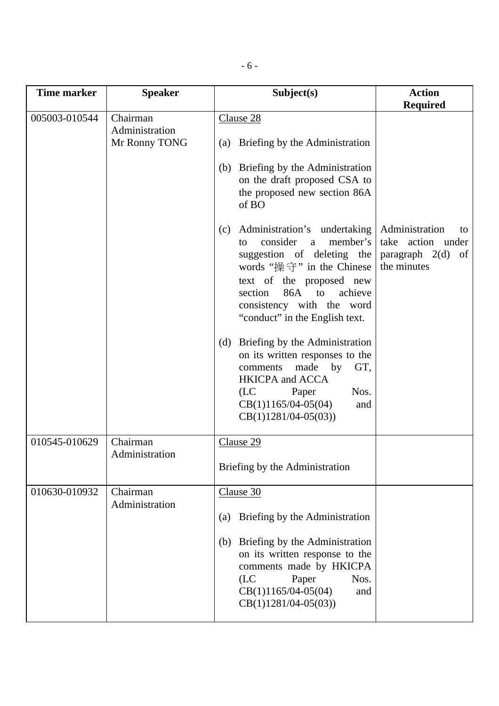| <b>Time marker</b> | <b>Speaker</b>                              | Subject(s)                                                                                                                                                                                                                                                                                                                                                                                                                                                                                                                                                                                                                                                                              | <b>Action</b>                                                                                         |
|--------------------|---------------------------------------------|-----------------------------------------------------------------------------------------------------------------------------------------------------------------------------------------------------------------------------------------------------------------------------------------------------------------------------------------------------------------------------------------------------------------------------------------------------------------------------------------------------------------------------------------------------------------------------------------------------------------------------------------------------------------------------------------|-------------------------------------------------------------------------------------------------------|
| 005003-010544      | Chairman<br>Administration<br>Mr Ronny TONG | Clause 28<br>(a) Briefing by the Administration<br>Briefing by the Administration<br>(b)<br>on the draft proposed CSA to<br>the proposed new section 86A<br>of BO<br>Administration's undertaking<br>(c)<br>consider<br>member's<br>a<br>to<br>suggestion of deleting the<br>words " $\mathbb{R}$ $\oplus$ " in the Chinese<br>text of the proposed new<br>86A<br>to<br>achieve<br>section<br>consistency with the word<br>"conduct" in the English text.<br>(d) Briefing by the Administration<br>on its written responses to the<br>made<br>by<br>GT,<br>comments<br><b>HKICPA</b> and <b>ACCA</b><br>(LC)<br>Nos.<br>Paper<br>$CB(1)1165/04-05(04)$<br>and<br>$CB(1)1281/04-05(03))$ | <b>Required</b><br>Administration<br>to<br>take action under<br>paragraph $2(d)$<br>of<br>the minutes |
| 010545-010629      | Chairman<br>Administration                  | Clause 29<br>Briefing by the Administration                                                                                                                                                                                                                                                                                                                                                                                                                                                                                                                                                                                                                                             |                                                                                                       |
| 010630-010932      | Chairman<br>Administration                  | Clause 30<br>Briefing by the Administration<br>(a)<br>(b) Briefing by the Administration<br>on its written response to the<br>comments made by HKICPA<br>Paper<br>Nos.<br>(LC)<br>$CB(1)1165/04-05(04)$<br>and<br>$CB(1)1281/04-05(03))$                                                                                                                                                                                                                                                                                                                                                                                                                                                |                                                                                                       |